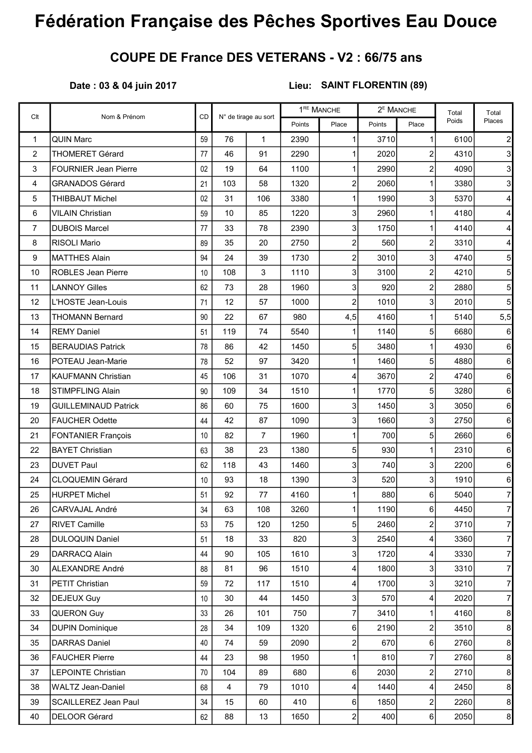## Fédération Française des Pêches Sportives Eau Douce

## COUPE DE France DES VETERANS - V2 : 66/75 ans

## Date : 03 & 04 juin 2017

## Lieu: SAINT FLORENTIN (89)

| Clt            | Nom & Prénom                | <b>CD</b> | N° de tirage au sort |                | 1 <sup>RE</sup> MANCHE |                         | $2E$ MANCHE |                         | Total | Total            |
|----------------|-----------------------------|-----------|----------------------|----------------|------------------------|-------------------------|-------------|-------------------------|-------|------------------|
|                |                             |           |                      |                | Points                 | Place                   | Points      | Place                   | Poids | Places           |
| $\mathbf{1}$   | <b>QUIN Marc</b>            | 59        | 76                   | $\mathbf{1}$   | 2390                   | $\mathbf{1}$            | 3710        | $\mathbf{1}$            | 6100  |                  |
| $\overline{c}$ | <b>THOMERET Gérard</b>      | 77        | 46                   | 91             | 2290                   | 1                       | 2020        | $\overline{c}$          | 4310  | $\overline{3}$   |
| 3              | <b>FOURNIER Jean Pierre</b> | 02        | 19                   | 64             | 1100                   | 1                       | 2990        | $\overline{c}$          | 4090  | 3 <sup>1</sup>   |
| 4              | <b>GRANADOS Gérard</b>      | 21        | 103                  | 58             | 1320                   | $\overline{\mathbf{c}}$ | 2060        | 1                       | 3380  | 3 <sup>1</sup>   |
| 5              | <b>THIBBAUT Michel</b>      | 02        | 31                   | 106            | 3380                   | 1                       | 1990        | 3                       | 5370  | $\vert$          |
| 6              | <b>VILAIN Christian</b>     | 59        | 10                   | 85             | 1220                   | 3                       | 2960        | 1                       | 4180  | $\vert$          |
| $\overline{7}$ | <b>DUBOIS Marcel</b>        | 77        | 33                   | 78             | 2390                   | 3                       | 1750        | 1                       | 4140  | $\overline{4}$   |
| 8              | RISOLI Mario                | 89        | 35                   | 20             | 2750                   | $\overline{\mathbf{c}}$ | 560         | $\overline{\mathbf{c}}$ | 3310  | $\vert$          |
| 9              | <b>MATTHES Alain</b>        | 94        | 24                   | 39             | 1730                   | $\overline{c}$          | 3010        | 3                       | 4740  | 5 <sub>l</sub>   |
| 10             | <b>ROBLES Jean Pierre</b>   | 10        | 108                  | $\mathbf{3}$   | 1110                   | 3                       | 3100        | $\overline{c}$          | 4210  | 5 <sup>1</sup>   |
| 11             | <b>LANNOY Gilles</b>        | 62        | 73                   | 28             | 1960                   | 3                       | 920         | $\overline{c}$          | 2880  | 5 <sup>1</sup>   |
| 12             | L'HOSTE Jean-Louis          | 71        | 12                   | 57             | 1000                   | $\overline{c}$          | 1010        | 3                       | 2010  | $5\overline{)}$  |
| 13             | <b>THOMANN Bernard</b>      | 90        | 22                   | 67             | 980                    | 4,5                     | 4160        | $\mathbf{1}$            | 5140  | 5,5              |
| 14             | <b>REMY Daniel</b>          | 51        | 119                  | 74             | 5540                   | 1                       | 1140        | 5                       | 6680  | $6 \overline{6}$ |
| 15             | <b>BERAUDIAS Patrick</b>    | 78        | 86                   | 42             | 1450                   | 5                       | 3480        | 1                       | 4930  | $6 \,$           |
| 16             | POTEAU Jean-Marie           | 78        | 52                   | 97             | 3420                   | 1                       | 1460        | 5                       | 4880  | $6 \mid$         |
| 17             | <b>KAUFMANN Christian</b>   | 45        | 106                  | 31             | 1070                   | 4                       | 3670        | $\overline{c}$          | 4740  | $6 \mid$         |
| 18             | <b>STIMPFLING Alain</b>     | 90        | 109                  | 34             | 1510                   | 1                       | 1770        | 5                       | 3280  | 6 <sup>1</sup>   |
| 19             | <b>GUILLEMINAUD Patrick</b> | 86        | 60                   | 75             | 1600                   | 3                       | 1450        | 3                       | 3050  | $6 \,$           |
| 20             | <b>FAUCHER Odette</b>       | 44        | 42                   | 87             | 1090                   | 3                       | 1660        | 3                       | 2750  | $6 \mid$         |
| 21             | <b>FONTANIER François</b>   | 10        | 82                   | $\overline{7}$ | 1960                   | 1                       | 700         | 5                       | 2660  | $6 \mid$         |
| 22             | <b>BAYET Christian</b>      | 63        | 38                   | 23             | 1380                   | 5                       | 930         | 1                       | 2310  | $6 \mid$         |
| 23             | <b>DUVET Paul</b>           | 62        | 118                  | 43             | 1460                   | 3                       | 740         | 3                       | 2200  | $6 \,$           |
| 24             | <b>CLOQUEMIN Gérard</b>     | 10        | 93                   | 18             | 1390                   | 3                       | 520         | 3                       | 1910  | $6 \mid$         |
| 25             | <b>HURPET Michel</b>        | 51        | 92                   | 77             | 4160                   | 1                       | 880         | 6                       | 5040  | $\overline{7}$   |
| 26             | CARVAJAL André              | 34        | 63                   | 108            | 3260                   | 1                       | 1190        | 6                       | 4450  | $\mathbf{7}$     |
| 27             | <b>RIVET Camille</b>        | 53        | 75                   | 120            | 1250                   | 5                       | 2460        | $\overline{\mathbf{c}}$ | 3710  | $\overline{7}$   |
| 28             | <b>DULOQUIN Daniel</b>      | 51        | 18                   | 33             | 820                    | 3                       | 2540        | 4                       | 3360  | $\overline{7}$   |
| 29             | DARRACQ Alain               | 44        | 90                   | 105            | 1610                   | 3                       | 1720        | 4                       | 3330  | $\overline{7}$   |
| 30             | <b>ALEXANDRE André</b>      | 88        | 81                   | 96             | 1510                   | 4                       | 1800        | 3                       | 3310  | $\overline{7}$   |
| 31             | PETIT Christian             | 59        | 72                   | 117            | 1510                   | 4                       | 1700        | 3                       | 3210  | $\overline{7}$   |
| 32             | <b>DEJEUX Guy</b>           | 10        | 30                   | 44             | 1450                   | 3                       | 570         | 4                       | 2020  | $\overline{7}$   |
| 33             | <b>QUERON Guy</b>           | 33        | 26                   | 101            | 750                    | $\overline{7}$          | 3410        | 1                       | 4160  | $\boldsymbol{8}$ |
| 34             | <b>DUPIN Dominique</b>      | 28        | 34                   | 109            | 1320                   | 6                       | 2190        | 2                       | 3510  | 8 <sup>1</sup>   |
| 35             | <b>DARRAS Daniel</b>        | 40        | 74                   | 59             | 2090                   | $\overline{c}$          | 670         | $\,6$                   | 2760  | $\boldsymbol{8}$ |
| 36             | <b>FAUCHER Pierre</b>       | 44        | 23                   | 98             | 1950                   | 1                       | 810         | $\overline{7}$          | 2760  | $\boldsymbol{8}$ |
| 37             | <b>LEPOINTE Christian</b>   | 70        | 104                  | 89             | 680                    | 6                       | 2030        | $\overline{\mathbf{c}}$ | 2710  | $\boldsymbol{8}$ |
| 38             | <b>WALTZ Jean-Daniel</b>    | 68        | 4                    | 79             | 1010                   | 4                       | 1440        | 4                       | 2450  | 8 <sup>1</sup>   |
| 39             | <b>SCAILLEREZ Jean Paul</b> | 34        | 15                   | 60             | 410                    | 6                       | 1850        | $\overline{\mathbf{c}}$ | 2260  | 8 <sub>o</sub>   |
| 40             | DELOOR Gérard               | 62        | 88                   | 13             | 1650                   | 2                       | 400         | 6                       | 2050  | $\boldsymbol{8}$ |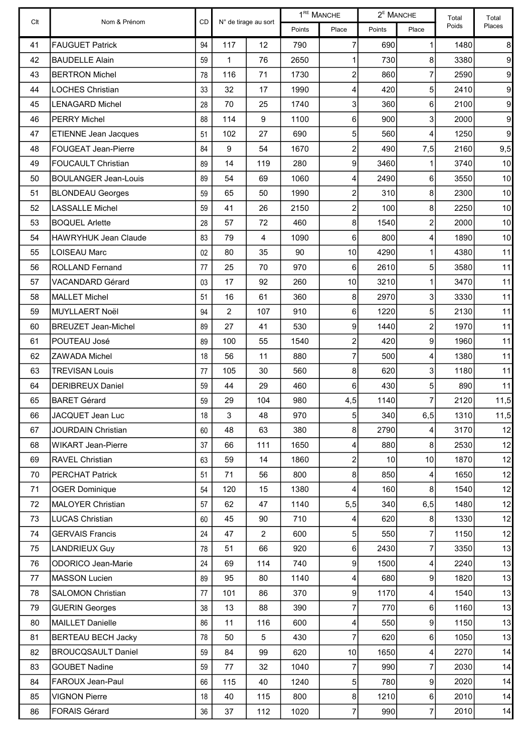| Clt | Nom & Prénom                | CD |                | N° de tirage au sort |        | $1^{\text{RE}}$ MANCHE | $2^E$ MANCHE |                         | Total | Total          |
|-----|-----------------------------|----|----------------|----------------------|--------|------------------------|--------------|-------------------------|-------|----------------|
|     |                             |    |                |                      | Points | Place                  | Points       | Place                   | Poids | Places         |
| 41  | <b>FAUGUET Patrick</b>      | 94 | 117            | 12                   | 790    | 7                      | 690          | $\mathbf{1}$            | 1480  | 8 <sup>1</sup> |
| 42  | <b>BAUDELLE Alain</b>       | 59 | 1              | 76                   | 2650   | 1                      | 730          | 8                       | 3380  | $\overline{9}$ |
| 43  | <b>BERTRON Michel</b>       | 78 | 116            | 71                   | 1730   | 2                      | 860          | 7                       | 2590  | $\overline{9}$ |
| 44  | <b>LOCHES Christian</b>     | 33 | 32             | 17                   | 1990   | 4                      | 420          | $\mathbf 5$             | 2410  | $\overline{9}$ |
| 45  | LENAGARD Michel             | 28 | 70             | 25                   | 1740   | 3                      | 360          | 6                       | 2100  | $\overline{9}$ |
| 46  | <b>PERRY Michel</b>         | 88 | 114            | 9                    | 1100   | 6                      | 900          | 3                       | 2000  | $\overline{9}$ |
| 47  | <b>ETIENNE Jean Jacques</b> | 51 | 102            | 27                   | 690    | 5                      | 560          | $\overline{\mathbf{4}}$ | 1250  | $\overline{9}$ |
| 48  | FOUGEAT Jean-Pierre         | 84 | $9\,$          | 54                   | 1670   | 2                      | 490          | 7,5                     | 2160  | 9,5            |
| 49  | <b>FOUCAULT Christian</b>   | 89 | 14             | 119                  | 280    | $\overline{9}$         | 3460         | 1                       | 3740  | 10             |
| 50  | <b>BOULANGER Jean-Louis</b> | 89 | 54             | 69                   | 1060   | 4                      | 2490         | $6 \mid$                | 3550  | 10             |
| 51  | <b>BLONDEAU Georges</b>     | 59 | 65             | 50                   | 1990   | $\overline{c}$         | 310          | 8                       | 2300  | 10             |
| 52  | <b>LASSALLE Michel</b>      | 59 | 41             | 26                   | 2150   | $\overline{c}$         | 100          | $\bf{8}$                | 2250  | 10             |
| 53  | <b>BOQUEL Arlette</b>       | 28 | 57             | 72                   | 460    | 8                      | 1540         | $\overline{2}$          | 2000  | 10             |
| 54  | <b>HAWRYHUK Jean Claude</b> | 83 | 79             | 4                    | 1090   | 6                      | 800          | $\overline{4}$          | 1890  | 10             |
| 55  | LOISEAU Marc                | 02 | 80             | 35                   | 90     | 10                     | 4290         | $\mathbf{1}$            | 4380  | 11             |
| 56  | ROLLAND Fernand             | 77 | 25             | 70                   | 970    | 6                      | 2610         | $5\vert$                | 3580  | 11             |
| 57  | VACANDARD Gérard            | 03 | 17             | 92                   | 260    | 10                     | 3210         | $\mathbf{1}$            | 3470  | 11             |
| 58  | <b>MALLET Michel</b>        | 51 | 16             | 61                   | 360    | 8                      | 2970         | 3                       | 3330  | 11             |
| 59  | MUYLLAERT Noël              | 94 | $\overline{2}$ | 107                  | 910    | $6 \mid$               | 1220         | 5 <sup>1</sup>          | 2130  | 11             |
| 60  | <b>BREUZET Jean-Michel</b>  | 89 | 27             | 41                   | 530    | 9                      | 1440         | $\mathsf{2}$            | 1970  | 11             |
| 61  | POUTEAU José                | 89 | 100            | 55                   | 1540   | $\overline{c}$         | 420          | 9                       | 1960  | 11             |
| 62  | <b>ZAWADA Michel</b>        | 18 | 56             | 11                   | 880    | 7                      | 500          | $\overline{\mathbf{4}}$ | 1380  | 11             |
| 63  | <b>TREVISAN Louis</b>       | 77 | 105            | 30                   | 560    | 8                      | 620          | 3                       | 1180  | 11             |
| 64  | <b>DERIBREUX Daniel</b>     | 59 | 44             | 29                   | 460    | 6                      | 430          | 5 <sub>l</sub>          | 890   | 11             |
| 65  | <b>BARET Gérard</b>         | 59 | 29             | 104                  | 980    | 4,5                    | 1140         | $\overline{7}$          | 2120  | 11,5           |
| 66  | JACQUET Jean Luc            | 18 | 3              | 48                   | 970    | 5 <sup>1</sup>         | 340          | 6,5                     | 1310  | 11,5           |
| 67  | <b>JOURDAIN Christian</b>   | 60 | 48             | 63                   | 380    | 8                      | 2790         | 4                       | 3170  | 12             |
| 68  | <b>WIKART Jean-Pierre</b>   | 37 | 66             | 111                  | 1650   | 4                      | 880          | 8                       | 2530  | 12             |
| 69  | RAVEL Christian             | 63 | 59             | 14                   | 1860   | 2                      | 10           | 10                      | 1870  | 12             |
| 70  | PERCHAT Patrick             | 51 | 71             | 56                   | 800    | $\bf{8}$               | 850          | 4                       | 1650  | 12             |
| 71  | <b>OGER Dominique</b>       | 54 | 120            | 15                   | 1380   | 4                      | 160          | 8 <sup>1</sup>          | 1540  | 12             |
| 72  | MALOYER Christian           | 57 | 62             | 47                   | 1140   | 5,5                    | 340          | 6,5                     | 1480  | 12             |
| 73  | <b>LUCAS Christian</b>      | 60 | 45             | 90                   | 710    | 4                      | 620          | $\boldsymbol{8}$        | 1330  | 12             |
| 74  | <b>GERVAIS Francis</b>      | 24 | 47             | $\overline{2}$       | 600    | 5 <sup>1</sup>         | 550          | 7                       | 1150  | 12             |
| 75  | LANDRIEUX Guy               | 78 | 51             | 66                   | 920    | $6 \,$                 | 2430         | $\overline{7}$          | 3350  | 13             |
| 76  | ODORICO Jean-Marie          | 24 | 69             | 114                  | 740    | 9                      | 1500         | $\vert$                 | 2240  | 13             |
| 77  | <b>MASSON Lucien</b>        | 89 | 95             | 80                   | 1140   | 4                      | 680          | $\overline{9}$          | 1820  | 13             |
| 78  | <b>SALOMON Christian</b>    | 77 | 101            | 86                   | 370    | 9                      | 1170         | $\overline{\mathbf{4}}$ | 1540  | 13             |
| 79  | <b>GUERIN Georges</b>       | 38 | 13             | 88                   | 390    | 7                      | 770          | $6 \mid$                | 1160  | 13             |
| 80  | <b>MAILLET Danielle</b>     | 86 | 11             | 116                  | 600    | 4                      | 550          | $\overline{9}$          | 1150  | 13             |
| 81  | <b>BERTEAU BECH Jacky</b>   | 78 | 50             | 5                    | 430    | 7                      | 620          | $6\vert$                | 1050  | 13             |
| 82  | <b>BROUCQSAULT Daniel</b>   | 59 | 84             | 99                   | 620    | 10                     | 1650         | $\overline{\mathbf{4}}$ | 2270  | 14             |
| 83  | <b>GOUBET Nadine</b>        | 59 | 77             | 32                   | 1040   | 7                      | 990          | 7                       | 2030  | 14             |
| 84  | FAROUX Jean-Paul            | 66 | 115            | 40                   | 1240   | 5 <sup>1</sup>         | 780          | $\overline{9}$          | 2020  | 14             |
| 85  | <b>VIGNON Pierre</b>        | 18 | 40             | 115                  | 800    | 8                      | 1210         | $6 \mid$                | 2010  | 14             |
| 86  | FORAIS Gérard               | 36 | 37             | 112                  | 1020   | 7                      | 990          | $\overline{7}$          | 2010  | 14             |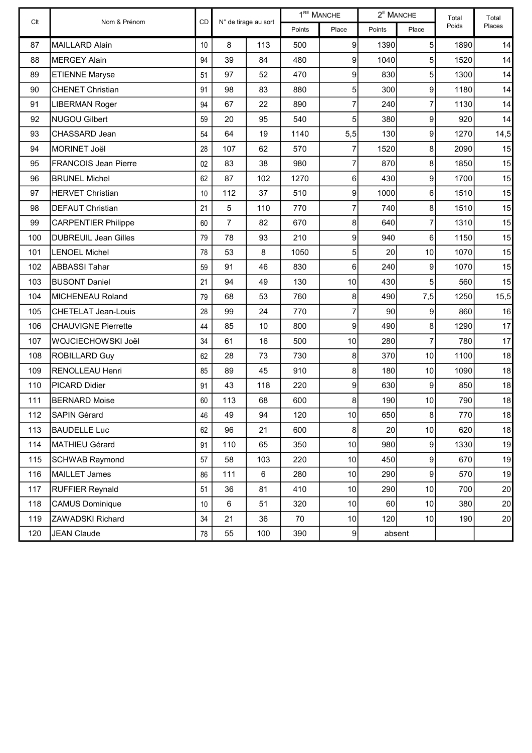| Clt | Nom & Prénom                | $\mathsf{CD}$ |                | $1^{\text{RE}}$ MANCHE<br>$2^E$ MANCHE<br>N° de tirage au sort |        | Total          | Total  |                |       |                 |
|-----|-----------------------------|---------------|----------------|----------------------------------------------------------------|--------|----------------|--------|----------------|-------|-----------------|
|     |                             |               |                |                                                                | Points | Place          | Points | Place          | Poids | Places          |
| 87  | <b>MAILLARD Alain</b>       | 10            | 8              | 113                                                            | 500    | 9              | 1390   | 5              | 1890  | 14              |
| 88  | <b>MERGEY Alain</b>         | 94            | 39             | 84                                                             | 480    | 9              | 1040   | 5              | 1520  | 14              |
| 89  | <b>ETIENNE Maryse</b>       | 51            | 97             | 52                                                             | 470    | 9              | 830    | 5              | 1300  | 14              |
| 90  | <b>CHENET Christian</b>     | 91            | 98             | 83                                                             | 880    | 5              | 300    | 9              | 1180  | 14              |
| 91  | <b>LIBERMAN Roger</b>       | 94            | 67             | 22                                                             | 890    | 7              | 240    | $\overline{7}$ | 1130  | 14              |
| 92  | <b>NUGOU Gilbert</b>        | 59            | 20             | 95                                                             | 540    | 5              | 380    | 9              | 920   | 14              |
| 93  | CHASSARD Jean               | 54            | 64             | 19                                                             | 1140   | 5,5            | 130    | 9              | 1270  | 14,5            |
| 94  | <b>MORINET Joël</b>         | 28            | 107            | 62                                                             | 570    | 7              | 1520   | 8              | 2090  | 15              |
| 95  | <b>FRANCOIS Jean Pierre</b> | 02            | 83             | 38                                                             | 980    | $\overline{7}$ | 870    | 8              | 1850  | 15              |
| 96  | <b>BRUNEL Michel</b>        | 62            | 87             | 102                                                            | 1270   | 6              | 430    | 9              | 1700  | 15              |
| 97  | <b>HERVET Christian</b>     | 10            | 112            | 37                                                             | 510    | 9              | 1000   | 6              | 1510  | 15              |
| 98  | <b>DEFAUT Christian</b>     | 21            | 5              | 110                                                            | 770    | $\overline{7}$ | 740    | 8              | 1510  | 15              |
| 99  | <b>CARPENTIER Philippe</b>  | 60            | $\overline{7}$ | 82                                                             | 670    | 8              | 640    | $\overline{7}$ | 1310  | 15              |
| 100 | <b>DUBREUIL Jean Gilles</b> | 79            | 78             | 93                                                             | 210    | 9              | 940    | 6              | 1150  | 15              |
| 101 | <b>LENOEL Michel</b>        | 78            | 53             | 8                                                              | 1050   | 5              | 20     | 10             | 1070  | 15              |
| 102 | <b>ABBASSI Tahar</b>        | 59            | 91             | 46                                                             | 830    | 6              | 240    | 9              | 1070  | 15              |
| 103 | <b>BUSONT Daniel</b>        | 21            | 94             | 49                                                             | 130    | 10             | 430    | 5              | 560   | 15              |
| 104 | MICHENEAU Roland            | 79            | 68             | 53                                                             | 760    | 8              | 490    | 7,5            | 1250  | 15,5            |
| 105 | <b>CHETELAT Jean-Louis</b>  | 28            | 99             | 24                                                             | 770    | $\overline{7}$ | 90     | 9              | 860   | 16              |
| 106 | <b>CHAUVIGNE Pierrette</b>  | 44            | 85             | 10                                                             | 800    | 9              | 490    | 8              | 1290  | 17              |
| 107 | WOJCIECHOWSKI Joël          | 34            | 61             | 16                                                             | 500    | 10             | 280    | 7              | 780   | 17              |
| 108 | <b>ROBILLARD Guy</b>        | 62            | 28             | 73                                                             | 730    | 8              | 370    | 10             | 1100  | 18              |
| 109 | RENOLLEAU Henri             | 85            | 89             | 45                                                             | 910    | 8              | 180    | 10             | 1090  | 18              |
| 110 | PICARD Didier               | 91            | 43             | 118                                                            | 220    | 9              | 630    | 9              | 850   | 18              |
| 111 | <b>BERNARD Moise</b>        | 60            | 113            | 68                                                             | 600    | 8              | 190    | 10             | 790   | 18              |
| 112 | <b>SAPIN Gérard</b>         | 46            | 49             | 94                                                             | 120    | 10             | 650    | 8              | 770   | 18              |
| 113 | <b>BAUDELLE Luc</b>         | 62            | 96             | 21                                                             | 600    | 8              | 20     | 10             | 620   | 18              |
| 114 | MATHIEU Gérard              | 91            | 110            | 65                                                             | 350    | 10             | 980    | 9              | 1330  | 19              |
| 115 | <b>SCHWAB Raymond</b>       | 57            | 58             | 103                                                            | 220    | 10             | 450    | 9              | 670   | 19              |
| 116 | <b>MAILLET James</b>        | 86            | 111            | 6                                                              | 280    | 10             | 290    | 9              | 570   | 19              |
| 117 | <b>RUFFIER Reynald</b>      | 51            | 36             | 81                                                             | 410    | 10             | 290    | 10             | 700   | 20 <sub>l</sub> |
| 118 | <b>CAMUS Dominique</b>      | 10            | $\,6\,$        | 51                                                             | 320    | 10             | 60     | 10             | 380   | 20              |
| 119 | ZAWADSKI Richard            | 34            | 21             | 36                                                             | 70     | 10             | 120    | 10             | 190   | 20 <sub>2</sub> |
| 120 | <b>JEAN Claude</b>          | 78            | 55             | 100                                                            | 390    | 9              | absent |                |       |                 |